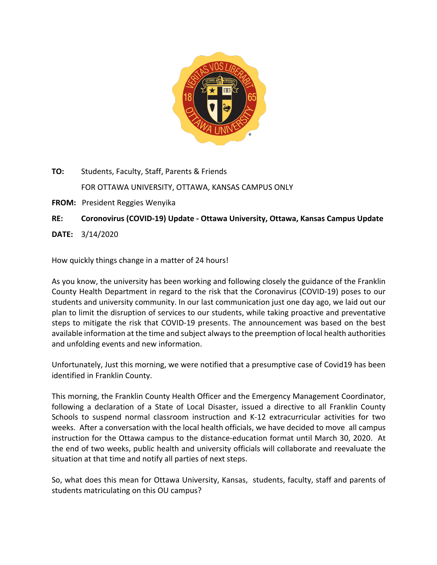

**TO:** Students, Faculty, Staff, Parents & Friends FOR OTTAWA UNIVERSITY, OTTAWA, KANSAS CAMPUS ONLY

**FROM:** President Reggies Wenyika

**RE: Coronovirus (COVID-19) Update - Ottawa University, Ottawa, Kansas Campus Update**

**DATE:** 3/14/2020

How quickly things change in a matter of 24 hours!

As you know, the university has been working and following closely the guidance of the Franklin County Health Department in regard to the risk that the Coronavirus (COVID-19) poses to our students and university community. In our last communication just one day ago, we laid out our plan to limit the disruption of services to our students, while taking proactive and preventative steps to mitigate the risk that COVID-19 presents. The announcement was based on the best available information at the time and subject always to the preemption of local health authorities and unfolding events and new information.

Unfortunately, Just this morning, we were notified that a presumptive case of Covid19 has been identified in Franklin County.

This morning, the Franklin County Health Officer and the Emergency Management Coordinator, following a declaration of a State of Local Disaster, issued a directive to all Franklin County Schools to suspend normal classroom instruction and K-12 extracurricular activities for two weeks. After a conversation with the local health officials, we have decided to move all campus instruction for the Ottawa campus to the distance-education format until March 30, 2020. At the end of two weeks, public health and university officials will collaborate and reevaluate the situation at that time and notify all parties of next steps.

So, what does this mean for Ottawa University, Kansas, students, faculty, staff and parents of students matriculating on this OU campus?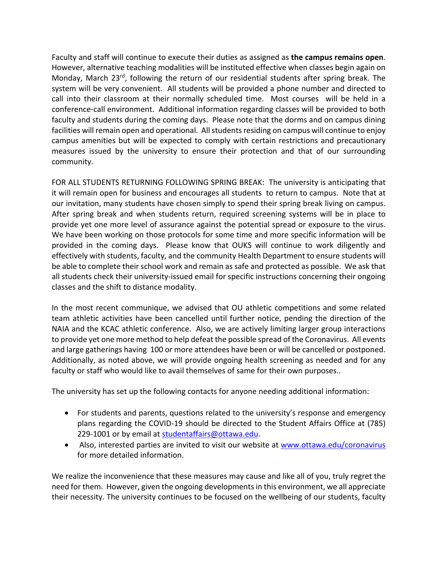Faculty and staff will continue to execute their duties as assigned as **the campus remains open**. However, alternative teaching modalities will be instituted effective when classes begin again on Monday, March 23<sup>rd</sup>, following the return of our residential students after spring break. The system will be very convenient. All students will be provided a phone number and directed to call into their classroom at their normally scheduled time. Most courses will be held in a conference-call environment. Additional information regarding classes will be provided to both faculty and students during the coming days. Please note that the dorms and on campus dining facilities will remain open and operational. All students residing on campus will continue to enjoy campus amenities but will be expected to comply with certain restrictions and precautionary measures issued by the university to ensure their protection and that of our surrounding community.

FOR ALL STUDENTS RETURNING FOLLOWING SPRING BREAK: The university is anticipating that it will remain open for business and encourages all students to return to campus. Note that at our invitation, many students have chosen simply to spend their spring break living on campus. After spring break and when students return, required screening systems will be in place to provide yet one more level of assurance against the potential spread or exposure to the virus. We have been working on those protocols for some time and more specific information will be provided in the coming days. Please know that OUKS will continue to work diligently and effectively with students, faculty, and the community Health Department to ensure students will be able to complete their school work and remain as safe and protected as possible. We ask that all students check their university-issued email for specific instructions concerning their ongoing classes and the shift to distance modality.

In the most recent communique, we advised that OU athletic competitions and some related team athletic activities have been cancelled until further notice, pending the direction of the NAIA and the KCAC athletic conference. Also, we are actively limiting larger group interactions to provide yet one more method to help defeat the possible spread of the Coronavirus. All events and large gatherings having 100 or more attendees have been or will be cancelled or postponed. Additionally, as noted above, we will provide ongoing health screening as needed and for any faculty or staff who would like to avail themselves of same for their own purposes..

The university has set up the following contacts for anyone needing additional information:

- For students and parents, questions related to the university's response and emergency plans regarding the COVID-19 should be directed to the Student Affairs Office at (785) 229-1001 or by email at studentaffairs@ottawa.edu.
- Also, interested parties are invited to visit our website at www.ottawa.edu/coronavirus for more detailed information.

We realize the inconvenience that these measures may cause and like all of you, truly regret the need for them. However, given the ongoing developmentsin this environment, we all appreciate their necessity. The university continues to be focused on the wellbeing of our students, faculty